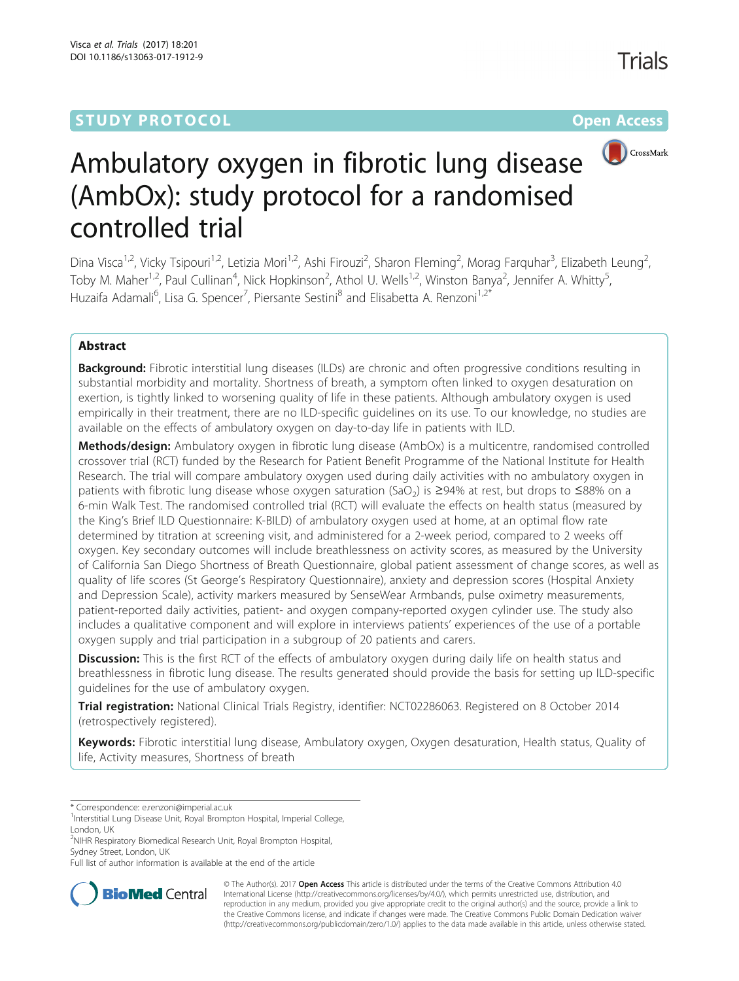# **STUDY PROTOCOL CONSUMING THE RESERVE ACCESS**



# Ambulatory oxygen in fibrotic lung disease (AmbOx): study protocol for a randomised controlled trial

Dina Visca<sup>1,2</sup>, Vicky Tsipouri<sup>1,2</sup>, Letizia Mori<sup>1,2</sup>, Ashi Firouzi<sup>2</sup>, Sharon Fleming<sup>2</sup>, Morag Farquhar<sup>3</sup>, Elizabeth Leung<sup>2</sup> , Toby M. Maher<sup>1,2</sup>, Paul Cullinan<sup>4</sup>, Nick Hopkinson<sup>2</sup>, Athol U. Wells<sup>1,2</sup>, Winston Banya<sup>2</sup>, Jennifer A. Whitty<sup>5</sup> , Huzaifa Adamali<sup>6</sup>, Lisa G. Spencer<sup>7</sup>, Piersante Sestini<sup>8</sup> and Elisabetta A. Renzoni<sup>1,2\*</sup>

# Abstract

**Background:** Fibrotic interstitial lung diseases (ILDs) are chronic and often progressive conditions resulting in substantial morbidity and mortality. Shortness of breath, a symptom often linked to oxygen desaturation on exertion, is tightly linked to worsening quality of life in these patients. Although ambulatory oxygen is used empirically in their treatment, there are no ILD-specific guidelines on its use. To our knowledge, no studies are available on the effects of ambulatory oxygen on day-to-day life in patients with ILD.

Methods/design: Ambulatory oxygen in fibrotic lung disease (AmbOx) is a multicentre, randomised controlled crossover trial (RCT) funded by the Research for Patient Benefit Programme of the National Institute for Health Research. The trial will compare ambulatory oxygen used during daily activities with no ambulatory oxygen in patients with fibrotic lung disease whose oxygen saturation (SaO<sub>2</sub>) is ≥94% at rest, but drops to ≤88% on a 6-min Walk Test. The randomised controlled trial (RCT) will evaluate the effects on health status (measured by the King's Brief ILD Questionnaire: K-BILD) of ambulatory oxygen used at home, at an optimal flow rate determined by titration at screening visit, and administered for a 2-week period, compared to 2 weeks off oxygen. Key secondary outcomes will include breathlessness on activity scores, as measured by the University of California San Diego Shortness of Breath Questionnaire, global patient assessment of change scores, as well as quality of life scores (St George's Respiratory Questionnaire), anxiety and depression scores (Hospital Anxiety and Depression Scale), activity markers measured by SenseWear Armbands, pulse oximetry measurements, patient-reported daily activities, patient- and oxygen company-reported oxygen cylinder use. The study also includes a qualitative component and will explore in interviews patients' experiences of the use of a portable oxygen supply and trial participation in a subgroup of 20 patients and carers.

**Discussion:** This is the first RCT of the effects of ambulatory oxygen during daily life on health status and breathlessness in fibrotic lung disease. The results generated should provide the basis for setting up ILD-specific guidelines for the use of ambulatory oxygen.

Trial registration: National Clinical Trials Registry, identifier: [NCT02286063.](https://clinicaltrials.gov/ct2/show/NCT02286063) Registered on 8 October 2014 (retrospectively registered).

Keywords: Fibrotic interstitial lung disease, Ambulatory oxygen, Oxygen desaturation, Health status, Quality of life, Activity measures, Shortness of breath

<sup>2</sup>NIHR Respiratory Biomedical Research Unit, Royal Brompton Hospital, Sydney Street, London, UK

Full list of author information is available at the end of the article



© The Author(s). 2017 **Open Access** This article is distributed under the terms of the Creative Commons Attribution 4.0 International License [\(http://creativecommons.org/licenses/by/4.0/](http://creativecommons.org/licenses/by/4.0/)), which permits unrestricted use, distribution, and reproduction in any medium, provided you give appropriate credit to the original author(s) and the source, provide a link to the Creative Commons license, and indicate if changes were made. The Creative Commons Public Domain Dedication waiver [\(http://creativecommons.org/publicdomain/zero/1.0/](http://creativecommons.org/publicdomain/zero/1.0/)) applies to the data made available in this article, unless otherwise stated.

<sup>\*</sup> Correspondence: [e.renzoni@imperial.ac.uk](mailto:e.renzoni@imperial.ac.uk) <sup>1</sup>

<sup>&</sup>lt;sup>1</sup>Interstitial Lung Disease Unit, Royal Brompton Hospital, Imperial College, London, UK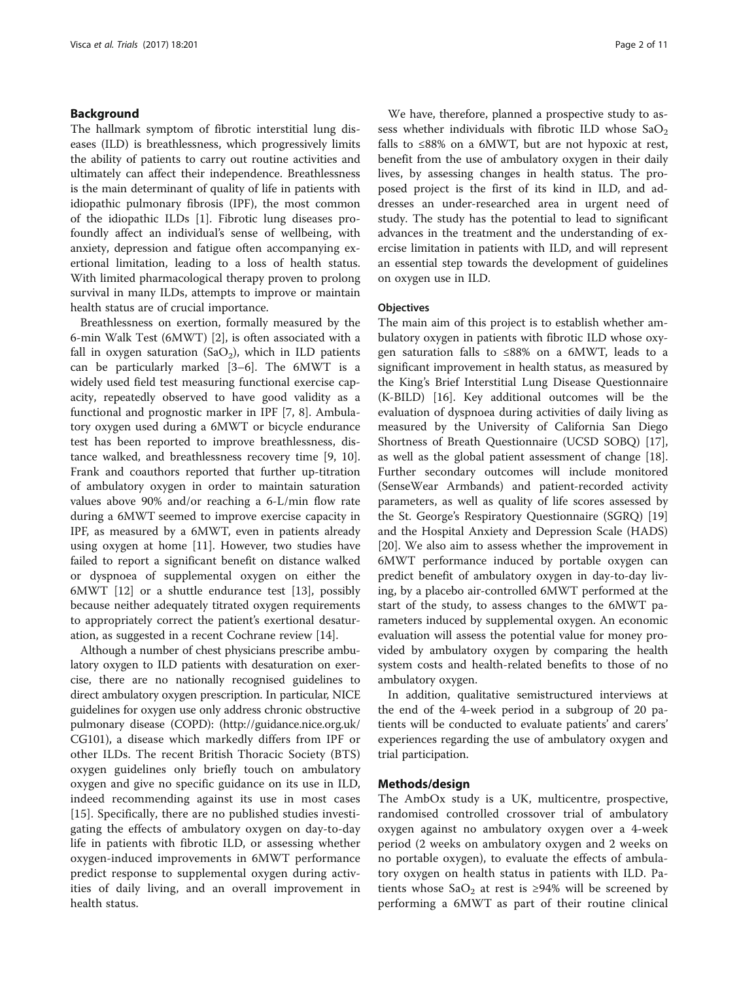# Background

The hallmark symptom of fibrotic interstitial lung diseases (ILD) is breathlessness, which progressively limits the ability of patients to carry out routine activities and ultimately can affect their independence. Breathlessness is the main determinant of quality of life in patients with idiopathic pulmonary fibrosis (IPF), the most common of the idiopathic ILDs [[1\]](#page-9-0). Fibrotic lung diseases profoundly affect an individual's sense of wellbeing, with anxiety, depression and fatigue often accompanying exertional limitation, leading to a loss of health status. With limited pharmacological therapy proven to prolong survival in many ILDs, attempts to improve or maintain health status are of crucial importance.

Breathlessness on exertion, formally measured by the 6-min Walk Test (6MWT) [[2](#page-9-0)], is often associated with a fall in oxygen saturation (SaO<sub>2</sub>), which in ILD patients can be particularly marked [\[3](#page-9-0)–[6](#page-9-0)]. The 6MWT is a widely used field test measuring functional exercise capacity, repeatedly observed to have good validity as a functional and prognostic marker in IPF [\[7](#page-9-0), [8\]](#page-9-0). Ambulatory oxygen used during a 6MWT or bicycle endurance test has been reported to improve breathlessness, distance walked, and breathlessness recovery time [[9, 10](#page-9-0)]. Frank and coauthors reported that further up-titration of ambulatory oxygen in order to maintain saturation values above 90% and/or reaching a 6-L/min flow rate during a 6MWT seemed to improve exercise capacity in IPF, as measured by a 6MWT, even in patients already using oxygen at home [\[11](#page-9-0)]. However, two studies have failed to report a significant benefit on distance walked or dyspnoea of supplemental oxygen on either the 6MWT [\[12\]](#page-9-0) or a shuttle endurance test [\[13\]](#page-9-0), possibly because neither adequately titrated oxygen requirements to appropriately correct the patient's exertional desaturation, as suggested in a recent Cochrane review [[14\]](#page-9-0).

Although a number of chest physicians prescribe ambulatory oxygen to ILD patients with desaturation on exercise, there are no nationally recognised guidelines to direct ambulatory oxygen prescription. In particular, NICE guidelines for oxygen use only address chronic obstructive pulmonary disease (COPD): ([http://guidance.nice.org.uk/](http://guidance.nice.org.uk/CG101) [CG101\)](http://guidance.nice.org.uk/CG101), a disease which markedly differs from IPF or other ILDs. The recent British Thoracic Society (BTS) oxygen guidelines only briefly touch on ambulatory oxygen and give no specific guidance on its use in ILD, indeed recommending against its use in most cases [[15\]](#page-9-0). Specifically, there are no published studies investigating the effects of ambulatory oxygen on day-to-day life in patients with fibrotic ILD, or assessing whether oxygen-induced improvements in 6MWT performance predict response to supplemental oxygen during activities of daily living, and an overall improvement in health status.

We have, therefore, planned a prospective study to assess whether individuals with fibrotic ILD whose  $a_2$ falls to  $\leq 88\%$  on a 6MWT, but are not hypoxic at rest, benefit from the use of ambulatory oxygen in their daily lives, by assessing changes in health status. The proposed project is the first of its kind in ILD, and addresses an under-researched area in urgent need of study. The study has the potential to lead to significant advances in the treatment and the understanding of exercise limitation in patients with ILD, and will represent an essential step towards the development of guidelines on oxygen use in ILD.

# **Objectives**

The main aim of this project is to establish whether ambulatory oxygen in patients with fibrotic ILD whose oxygen saturation falls to ≤88% on a 6MWT, leads to a significant improvement in health status, as measured by the King's Brief Interstitial Lung Disease Questionnaire (K-BILD) [\[16](#page-9-0)]. Key additional outcomes will be the evaluation of dyspnoea during activities of daily living as measured by the University of California San Diego Shortness of Breath Questionnaire (UCSD SOBQ) [\[17](#page-9-0)], as well as the global patient assessment of change [\[18](#page-9-0)]. Further secondary outcomes will include monitored (SenseWear Armbands) and patient-recorded activity parameters, as well as quality of life scores assessed by the St. George's Respiratory Questionnaire (SGRQ) [[19](#page-9-0)] and the Hospital Anxiety and Depression Scale (HADS) [[20\]](#page-9-0). We also aim to assess whether the improvement in 6MWT performance induced by portable oxygen can predict benefit of ambulatory oxygen in day-to-day living, by a placebo air-controlled 6MWT performed at the start of the study, to assess changes to the 6MWT parameters induced by supplemental oxygen. An economic evaluation will assess the potential value for money provided by ambulatory oxygen by comparing the health system costs and health-related benefits to those of no ambulatory oxygen.

In addition, qualitative semistructured interviews at the end of the 4-week period in a subgroup of 20 patients will be conducted to evaluate patients' and carers' experiences regarding the use of ambulatory oxygen and trial participation.

# Methods/design

The AmbOx study is a UK, multicentre, prospective, randomised controlled crossover trial of ambulatory oxygen against no ambulatory oxygen over a 4-week period (2 weeks on ambulatory oxygen and 2 weeks on no portable oxygen), to evaluate the effects of ambulatory oxygen on health status in patients with ILD. Patients whose SaO<sub>2</sub> at rest is ≥94% will be screened by performing a 6MWT as part of their routine clinical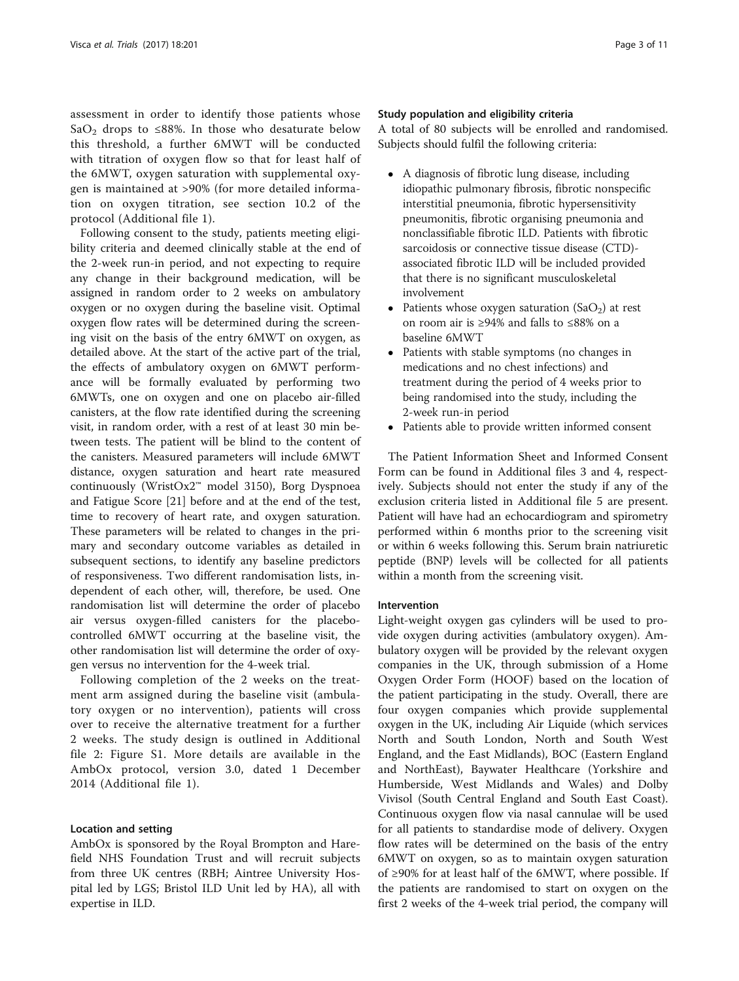assessment in order to identify those patients whose SaO<sub>2</sub> drops to ≤88%. In those who desaturate below this threshold, a further 6MWT will be conducted with titration of oxygen flow so that for least half of the 6MWT, oxygen saturation with supplemental oxygen is maintained at >90% (for more detailed information on oxygen titration, see section 10.2 of the protocol (Additional file [1\)](#page-8-0).

Following consent to the study, patients meeting eligibility criteria and deemed clinically stable at the end of the 2-week run-in period, and not expecting to require any change in their background medication, will be assigned in random order to 2 weeks on ambulatory oxygen or no oxygen during the baseline visit. Optimal oxygen flow rates will be determined during the screening visit on the basis of the entry 6MWT on oxygen, as detailed above. At the start of the active part of the trial, the effects of ambulatory oxygen on 6MWT performance will be formally evaluated by performing two 6MWTs, one on oxygen and one on placebo air-filled canisters, at the flow rate identified during the screening visit, in random order, with a rest of at least 30 min between tests. The patient will be blind to the content of the canisters. Measured parameters will include 6MWT distance, oxygen saturation and heart rate measured continuously (WristOx2™ model 3150), Borg Dyspnoea and Fatigue Score [\[21\]](#page-9-0) before and at the end of the test, time to recovery of heart rate, and oxygen saturation. These parameters will be related to changes in the primary and secondary outcome variables as detailed in subsequent sections, to identify any baseline predictors of responsiveness. Two different randomisation lists, independent of each other, will, therefore, be used. One randomisation list will determine the order of placebo air versus oxygen-filled canisters for the placebocontrolled 6MWT occurring at the baseline visit, the other randomisation list will determine the order of oxygen versus no intervention for the 4-week trial.

Following completion of the 2 weeks on the treatment arm assigned during the baseline visit (ambulatory oxygen or no intervention), patients will cross over to receive the alternative treatment for a further 2 weeks. The study design is outlined in Additional file [2:](#page-8-0) Figure S1. More details are available in the AmbOx protocol, version 3.0, dated 1 December 2014 (Additional file [1](#page-8-0)).

# Location and setting

AmbOx is sponsored by the Royal Brompton and Harefield NHS Foundation Trust and will recruit subjects from three UK centres (RBH; Aintree University Hospital led by LGS; Bristol ILD Unit led by HA), all with expertise in ILD.

# Study population and eligibility criteria

A total of 80 subjects will be enrolled and randomised. Subjects should fulfil the following criteria:

- A diagnosis of fibrotic lung disease, including idiopathic pulmonary fibrosis, fibrotic nonspecific interstitial pneumonia, fibrotic hypersensitivity pneumonitis, fibrotic organising pneumonia and nonclassifiable fibrotic ILD. Patients with fibrotic sarcoidosis or connective tissue disease (CTD) associated fibrotic ILD will be included provided that there is no significant musculoskeletal involvement
- Patients whose oxygen saturation  $(SaO<sub>2</sub>)$  at rest on room air is ≥94% and falls to ≤88% on a baseline 6MWT
- Patients with stable symptoms (no changes in medications and no chest infections) and treatment during the period of 4 weeks prior to being randomised into the study, including the 2-week run-in period
- Patients able to provide written informed consent

The Patient Information Sheet and Informed Consent Form can be found in Additional files [3](#page-8-0) and [4](#page-8-0), respectively. Subjects should not enter the study if any of the exclusion criteria listed in Additional file [5](#page-8-0) are present. Patient will have had an echocardiogram and spirometry performed within 6 months prior to the screening visit or within 6 weeks following this. Serum brain natriuretic peptide (BNP) levels will be collected for all patients within a month from the screening visit.

# Intervention

Light-weight oxygen gas cylinders will be used to provide oxygen during activities (ambulatory oxygen). Ambulatory oxygen will be provided by the relevant oxygen companies in the UK, through submission of a Home Oxygen Order Form (HOOF) based on the location of the patient participating in the study. Overall, there are four oxygen companies which provide supplemental oxygen in the UK, including Air Liquide (which services North and South London, North and South West England, and the East Midlands), BOC (Eastern England and NorthEast), Baywater Healthcare (Yorkshire and Humberside, West Midlands and Wales) and Dolby Vivisol (South Central England and South East Coast). Continuous oxygen flow via nasal cannulae will be used for all patients to standardise mode of delivery. Oxygen flow rates will be determined on the basis of the entry 6MWT on oxygen, so as to maintain oxygen saturation of ≥90% for at least half of the 6MWT, where possible. If the patients are randomised to start on oxygen on the first 2 weeks of the 4-week trial period, the company will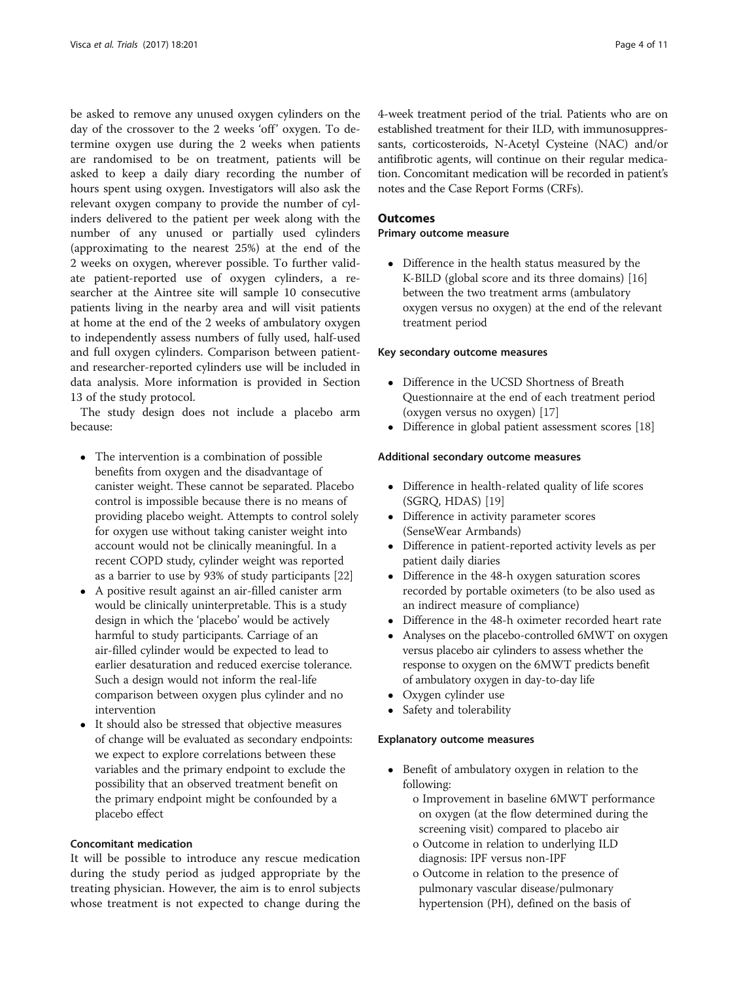be asked to remove any unused oxygen cylinders on the day of the crossover to the 2 weeks 'off' oxygen. To determine oxygen use during the 2 weeks when patients are randomised to be on treatment, patients will be asked to keep a daily diary recording the number of hours spent using oxygen. Investigators will also ask the relevant oxygen company to provide the number of cylinders delivered to the patient per week along with the number of any unused or partially used cylinders (approximating to the nearest 25%) at the end of the 2 weeks on oxygen, wherever possible. To further validate patient-reported use of oxygen cylinders, a researcher at the Aintree site will sample 10 consecutive patients living in the nearby area and will visit patients at home at the end of the 2 weeks of ambulatory oxygen to independently assess numbers of fully used, half-used and full oxygen cylinders. Comparison between patientand researcher-reported cylinders use will be included in data analysis. More information is provided in Section 13 of the study protocol.

The study design does not include a placebo arm because:

- The intervention is a combination of possible benefits from oxygen and the disadvantage of canister weight. These cannot be separated. Placebo control is impossible because there is no means of providing placebo weight. Attempts to control solely for oxygen use without taking canister weight into account would not be clinically meaningful. In a recent COPD study, cylinder weight was reported as a barrier to use by 93% of study participants [\[22\]](#page-9-0)
- A positive result against an air-filled canister arm would be clinically uninterpretable. This is a study design in which the 'placebo' would be actively harmful to study participants. Carriage of an air-filled cylinder would be expected to lead to earlier desaturation and reduced exercise tolerance. Such a design would not inform the real-life comparison between oxygen plus cylinder and no intervention
- It should also be stressed that objective measures of change will be evaluated as secondary endpoints: we expect to explore correlations between these variables and the primary endpoint to exclude the possibility that an observed treatment benefit on the primary endpoint might be confounded by a placebo effect

# Concomitant medication

It will be possible to introduce any rescue medication during the study period as judged appropriate by the treating physician. However, the aim is to enrol subjects whose treatment is not expected to change during the

4-week treatment period of the trial. Patients who are on established treatment for their ILD, with immunosuppressants, corticosteroids, N-Acetyl Cysteine (NAC) and/or antifibrotic agents, will continue on their regular medication. Concomitant medication will be recorded in patient's notes and the Case Report Forms (CRFs).

# **Outcomes**

# Primary outcome measure

 Difference in the health status measured by the K-BILD (global score and its three domains) [\[16](#page-9-0)] between the two treatment arms (ambulatory oxygen versus no oxygen) at the end of the relevant treatment period

# Key secondary outcome measures

- Difference in the UCSD Shortness of Breath Questionnaire at the end of each treatment period (oxygen versus no oxygen) [[17\]](#page-9-0)
- Difference in global patient assessment scores [\[18\]](#page-9-0)

# Additional secondary outcome measures

- Difference in health-related quality of life scores (SGRQ, HDAS) [\[19\]](#page-9-0)
- Difference in activity parameter scores (SenseWear Armbands)
- Difference in patient-reported activity levels as per patient daily diaries
- Difference in the 48-h oxygen saturation scores recorded by portable oximeters (to be also used as an indirect measure of compliance)
- Difference in the 48-h oximeter recorded heart rate
- Analyses on the placebo-controlled 6MWT on oxygen versus placebo air cylinders to assess whether the response to oxygen on the 6MWT predicts benefit of ambulatory oxygen in day-to-day life
- Oxygen cylinder use
- Safety and tolerability

# Explanatory outcome measures

- Benefit of ambulatory oxygen in relation to the following:
	- o Improvement in baseline 6MWT performance on oxygen (at the flow determined during the screening visit) compared to placebo air
	- o Outcome in relation to underlying ILD diagnosis: IPF versus non-IPF
	- o Outcome in relation to the presence of pulmonary vascular disease/pulmonary hypertension (PH), defined on the basis of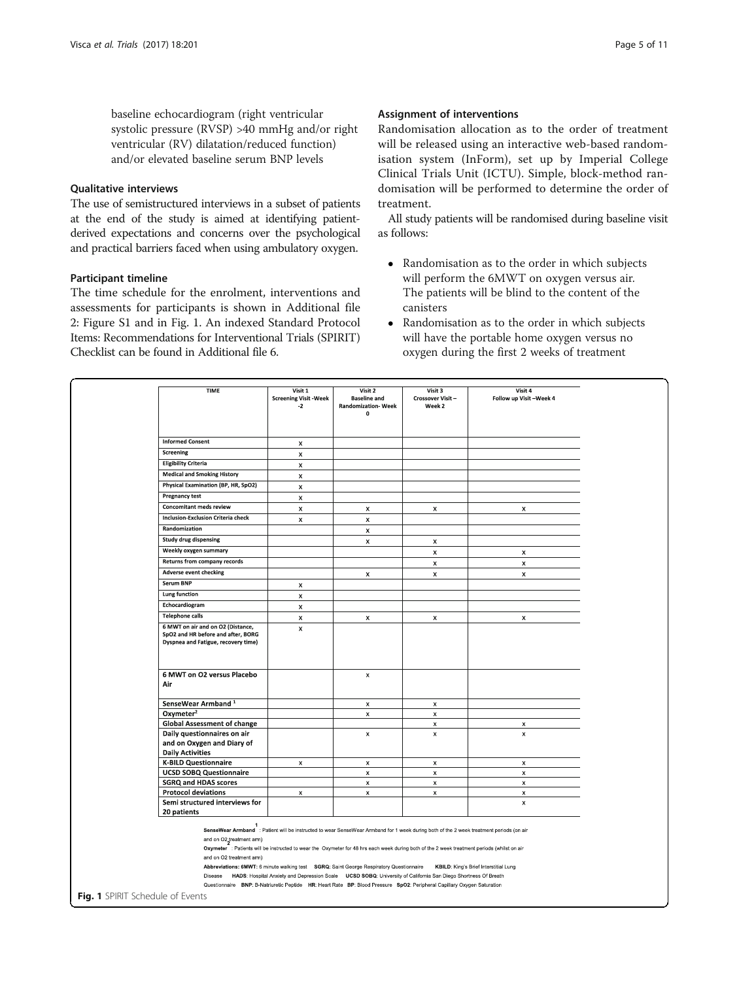baseline echocardiogram (right ventricular systolic pressure (RVSP) >40 mmHg and/or right ventricular (RV) dilatation/reduced function) and/or elevated baseline serum BNP levels

# Qualitative interviews

The use of semistructured interviews in a subset of patients at the end of the study is aimed at identifying patientderived expectations and concerns over the psychological and practical barriers faced when using ambulatory oxygen.

# Participant timeline

The time schedule for the enrolment, interventions and assessments for participants is shown in Additional file [2:](#page-8-0) Figure S1 and in Fig. 1. An indexed Standard Protocol Items: Recommendations for Interventional Trials (SPIRIT) Checklist can be found in Additional file [6.](#page-8-0)

# Assignment of interventions

Randomisation allocation as to the order of treatment will be released using an interactive web-based randomisation system (InForm), set up by Imperial College Clinical Trials Unit (ICTU). Simple, block-method randomisation will be performed to determine the order of treatment.

All study patients will be randomised during baseline visit as follows:

- Randomisation as to the order in which subjects will perform the 6MWT on oxygen versus air. The patients will be blind to the content of the canisters
- Randomisation as to the order in which subjects will have the portable home oxygen versus no oxygen during the first 2 weeks of treatment

|                                                                                                                | Visit 1<br><b>Screening Visit - Week</b><br>$-2$ | Visit 2<br><b>Baseline and</b><br><b>Randomization-Week</b><br>$\Omega$ | Visit 3<br>Crossover Visit-<br>Week 2 | Visit 4<br>Follow up Visit-Week 4 |
|----------------------------------------------------------------------------------------------------------------|--------------------------------------------------|-------------------------------------------------------------------------|---------------------------------------|-----------------------------------|
|                                                                                                                |                                                  |                                                                         |                                       |                                   |
| <b>Informed Consent</b>                                                                                        | x                                                |                                                                         |                                       |                                   |
| Screening                                                                                                      | $\pmb{\times}$                                   |                                                                         |                                       |                                   |
| <b>Eligibility Criteria</b>                                                                                    | X                                                |                                                                         |                                       |                                   |
| <b>Medical and Smoking History</b>                                                                             | $\pmb{\times}$                                   |                                                                         |                                       |                                   |
| Physical Examination (BP, HR, SpO2)                                                                            | X                                                |                                                                         |                                       |                                   |
| <b>Pregnancy test</b>                                                                                          | $\pmb{\times}$                                   |                                                                         |                                       |                                   |
| <b>Concomitant meds review</b>                                                                                 | $\pmb{\times}$                                   | $\pmb{\times}$                                                          | $\pmb{\times}$                        | $\pmb{\times}$                    |
| <b>Inclusion-Exclusion Criteria check</b>                                                                      | $\pmb{\times}$                                   | $\pmb{\times}$                                                          |                                       |                                   |
| Randomization                                                                                                  |                                                  | $\pmb{\times}$                                                          |                                       |                                   |
| <b>Study drug dispensing</b>                                                                                   |                                                  | $\pmb{\times}$                                                          | $\pmb{\times}$                        |                                   |
| Weekly oxygen summary                                                                                          |                                                  |                                                                         | $\pmb{\times}$                        | x                                 |
| Returns from company records                                                                                   |                                                  |                                                                         |                                       | $\mathsf{x}$                      |
| <b>Adverse event checking</b>                                                                                  |                                                  | $\pmb{\times}$                                                          | X<br>$\pmb{\times}$                   | $\pmb{\times}$                    |
| Serum BNP                                                                                                      |                                                  |                                                                         |                                       |                                   |
| Lung function                                                                                                  | x<br>$\pmb{\times}$                              |                                                                         |                                       |                                   |
| Echocardiogram                                                                                                 |                                                  |                                                                         |                                       |                                   |
| <b>Telephone calls</b>                                                                                         | $\pmb{\times}$                                   |                                                                         |                                       |                                   |
| 6 MWT on air and on O2 (Distance,<br>SpO2 and HR before and after, BORG<br>Dyspnea and Fatigue, recovery time) | x<br>$\pmb{\times}$                              | x                                                                       | x                                     | x                                 |
| 6 MWT on O2 versus Placebo<br>Air                                                                              |                                                  | $\pmb{\times}$                                                          |                                       |                                   |
| SenseWear Armband <sup>1</sup>                                                                                 |                                                  | $\pmb{\times}$                                                          | $\pmb{\chi}$                          |                                   |
| Oxymeter <sup>2</sup>                                                                                          |                                                  | $\pmb{\times}$                                                          | $\pmb{\times}$                        |                                   |
| <b>Global Assessment of change</b>                                                                             |                                                  |                                                                         | $\pmb{\times}$                        | $\pmb{\times}$                    |
|                                                                                                                |                                                  | $\pmb{\times}$                                                          | x                                     | $\pmb{\times}$                    |
| Daily questionnaires on air<br>and on Oxygen and Diary of<br><b>Daily Activities</b>                           |                                                  |                                                                         |                                       |                                   |
| <b>K-BILD Questionnaire</b>                                                                                    | $\pmb{\times}$                                   | $\pmb{\times}$                                                          | $\pmb{\times}$                        | $\pmb{\times}$                    |
| <b>UCSD SOBQ Questionnaire</b>                                                                                 |                                                  | $\pmb{\times}$                                                          | $\pmb{\mathsf{x}}$                    | $\pmb{\times}$                    |
| <b>SGRQ and HDAS scores</b>                                                                                    |                                                  | $\pmb{\times}$                                                          | $\pmb{\times}$                        | $\pmb{\times}$                    |
| <b>Protocol deviations</b><br>Semi structured interviews for                                                   | $\pmb{\times}$                                   | $\pmb{\times}$                                                          | $\pmb{\times}$                        | $\pmb{\times}$<br>$\pmb{\times}$  |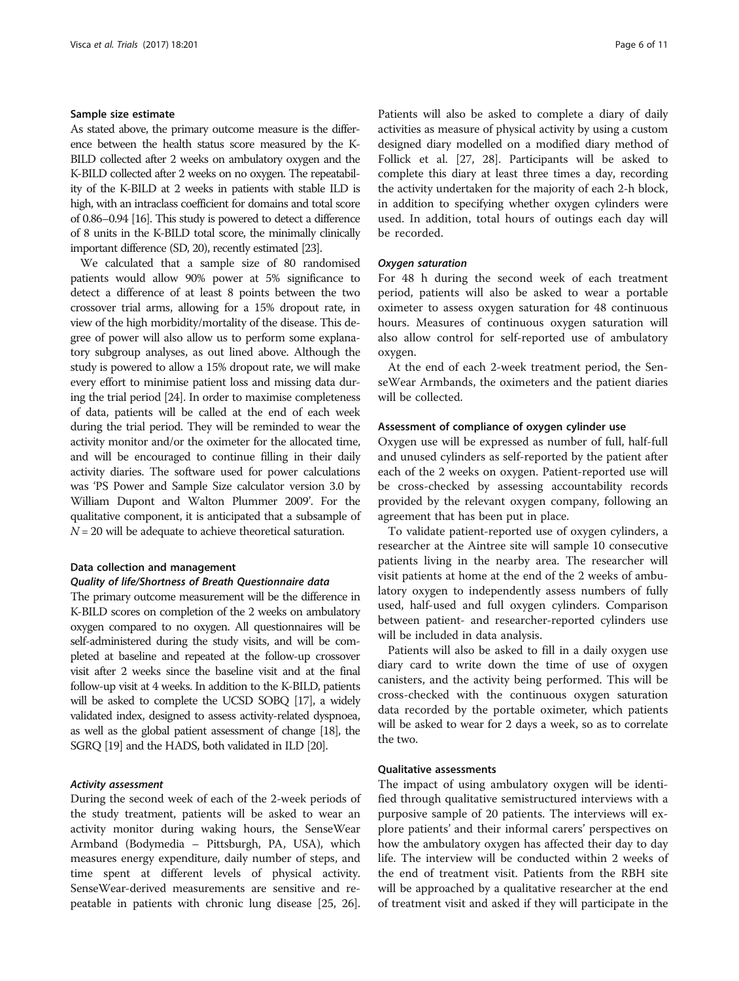# Sample size estimate

As stated above, the primary outcome measure is the difference between the health status score measured by the K-BILD collected after 2 weeks on ambulatory oxygen and the K-BILD collected after 2 weeks on no oxygen. The repeatability of the K-BILD at 2 weeks in patients with stable ILD is high, with an intraclass coefficient for domains and total score of 0.86–0.94 [\[16\]](#page-9-0). This study is powered to detect a difference of 8 units in the K-BILD total score, the minimally clinically important difference (SD, 20), recently estimated [\[23\]](#page-9-0).

We calculated that a sample size of 80 randomised patients would allow 90% power at 5% significance to detect a difference of at least 8 points between the two crossover trial arms, allowing for a 15% dropout rate, in view of the high morbidity/mortality of the disease. This degree of power will also allow us to perform some explanatory subgroup analyses, as out lined above. Although the study is powered to allow a 15% dropout rate, we will make every effort to minimise patient loss and missing data during the trial period [\[24\]](#page-9-0). In order to maximise completeness of data, patients will be called at the end of each week during the trial period. They will be reminded to wear the activity monitor and/or the oximeter for the allocated time, and will be encouraged to continue filling in their daily activity diaries. The software used for power calculations was 'PS Power and Sample Size calculator version 3.0 by William Dupont and Walton Plummer 2009'. For the qualitative component, it is anticipated that a subsample of  $N = 20$  will be adequate to achieve theoretical saturation.

# Data collection and management

# Quality of life/Shortness of Breath Questionnaire data

The primary outcome measurement will be the difference in K-BILD scores on completion of the 2 weeks on ambulatory oxygen compared to no oxygen. All questionnaires will be self-administered during the study visits, and will be completed at baseline and repeated at the follow-up crossover visit after 2 weeks since the baseline visit and at the final follow-up visit at 4 weeks. In addition to the K-BILD, patients will be asked to complete the UCSD SOBQ [\[17](#page-9-0)], a widely validated index, designed to assess activity-related dyspnoea, as well as the global patient assessment of change [[18\]](#page-9-0), the SGRQ [\[19](#page-9-0)] and the HADS, both validated in ILD [\[20\]](#page-9-0).

# Activity assessment

During the second week of each of the 2-week periods of the study treatment, patients will be asked to wear an activity monitor during waking hours, the SenseWear Armband (Bodymedia – Pittsburgh, PA, USA), which measures energy expenditure, daily number of steps, and time spent at different levels of physical activity. SenseWear-derived measurements are sensitive and repeatable in patients with chronic lung disease [\[25, 26](#page-9-0)].

Patients will also be asked to complete a diary of daily activities as measure of physical activity by using a custom designed diary modelled on a modified diary method of Follick et al. [[27](#page-9-0), [28\]](#page-9-0). Participants will be asked to complete this diary at least three times a day, recording the activity undertaken for the majority of each 2-h block, in addition to specifying whether oxygen cylinders were used. In addition, total hours of outings each day will be recorded.

# Oxygen saturation

For 48 h during the second week of each treatment period, patients will also be asked to wear a portable oximeter to assess oxygen saturation for 48 continuous hours. Measures of continuous oxygen saturation will also allow control for self-reported use of ambulatory oxygen.

At the end of each 2-week treatment period, the SenseWear Armbands, the oximeters and the patient diaries will be collected.

# Assessment of compliance of oxygen cylinder use

Oxygen use will be expressed as number of full, half-full and unused cylinders as self-reported by the patient after each of the 2 weeks on oxygen. Patient-reported use will be cross-checked by assessing accountability records provided by the relevant oxygen company, following an agreement that has been put in place.

To validate patient-reported use of oxygen cylinders, a researcher at the Aintree site will sample 10 consecutive patients living in the nearby area. The researcher will visit patients at home at the end of the 2 weeks of ambulatory oxygen to independently assess numbers of fully used, half-used and full oxygen cylinders. Comparison between patient- and researcher-reported cylinders use will be included in data analysis.

Patients will also be asked to fill in a daily oxygen use diary card to write down the time of use of oxygen canisters, and the activity being performed. This will be cross-checked with the continuous oxygen saturation data recorded by the portable oximeter, which patients will be asked to wear for 2 days a week, so as to correlate the two.

# Qualitative assessments

The impact of using ambulatory oxygen will be identified through qualitative semistructured interviews with a purposive sample of 20 patients. The interviews will explore patients' and their informal carers' perspectives on how the ambulatory oxygen has affected their day to day life. The interview will be conducted within 2 weeks of the end of treatment visit. Patients from the RBH site will be approached by a qualitative researcher at the end of treatment visit and asked if they will participate in the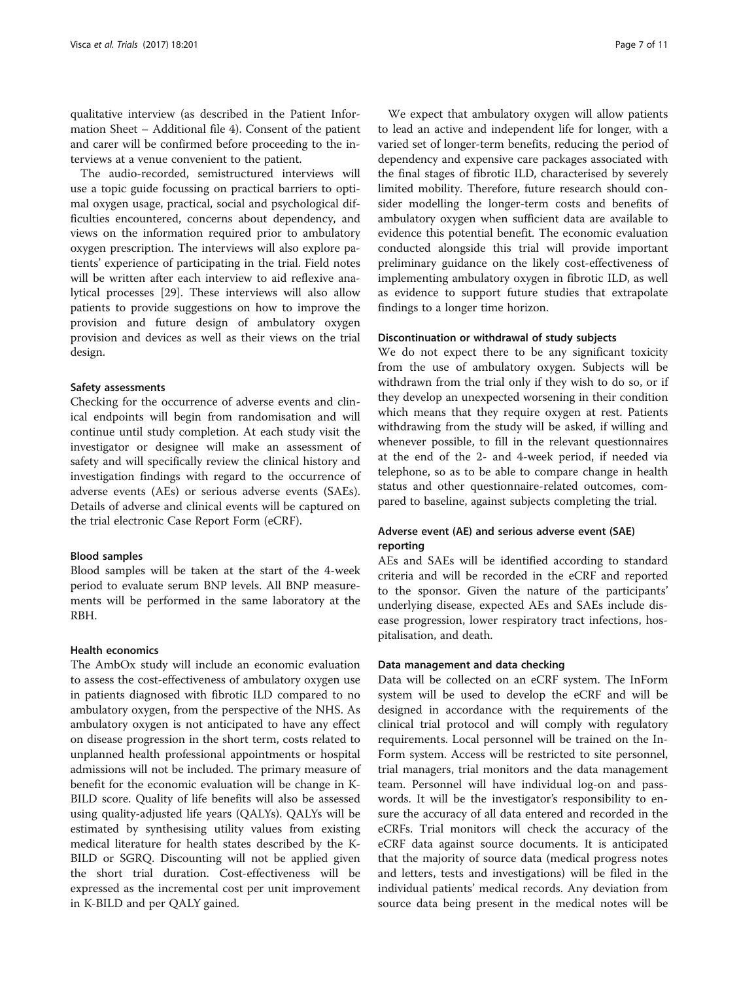qualitative interview (as described in the Patient Information Sheet – Additional file [4\)](#page-8-0). Consent of the patient and carer will be confirmed before proceeding to the interviews at a venue convenient to the patient.

The audio-recorded, semistructured interviews will use a topic guide focussing on practical barriers to optimal oxygen usage, practical, social and psychological difficulties encountered, concerns about dependency, and views on the information required prior to ambulatory oxygen prescription. The interviews will also explore patients' experience of participating in the trial. Field notes will be written after each interview to aid reflexive analytical processes [\[29](#page-10-0)]. These interviews will also allow patients to provide suggestions on how to improve the provision and future design of ambulatory oxygen provision and devices as well as their views on the trial design.

# Safety assessments

Checking for the occurrence of adverse events and clinical endpoints will begin from randomisation and will continue until study completion. At each study visit the investigator or designee will make an assessment of safety and will specifically review the clinical history and investigation findings with regard to the occurrence of adverse events (AEs) or serious adverse events (SAEs). Details of adverse and clinical events will be captured on the trial electronic Case Report Form (eCRF).

# Blood samples

Blood samples will be taken at the start of the 4-week period to evaluate serum BNP levels. All BNP measurements will be performed in the same laboratory at the RBH.

# Health economics

The AmbOx study will include an economic evaluation to assess the cost-effectiveness of ambulatory oxygen use in patients diagnosed with fibrotic ILD compared to no ambulatory oxygen, from the perspective of the NHS. As ambulatory oxygen is not anticipated to have any effect on disease progression in the short term, costs related to unplanned health professional appointments or hospital admissions will not be included. The primary measure of benefit for the economic evaluation will be change in K-BILD score. Quality of life benefits will also be assessed using quality-adjusted life years (QALYs). QALYs will be estimated by synthesising utility values from existing medical literature for health states described by the K-BILD or SGRQ. Discounting will not be applied given the short trial duration. Cost-effectiveness will be expressed as the incremental cost per unit improvement in K-BILD and per QALY gained.

We expect that ambulatory oxygen will allow patients to lead an active and independent life for longer, with a varied set of longer-term benefits, reducing the period of dependency and expensive care packages associated with the final stages of fibrotic ILD, characterised by severely limited mobility. Therefore, future research should consider modelling the longer-term costs and benefits of ambulatory oxygen when sufficient data are available to evidence this potential benefit. The economic evaluation conducted alongside this trial will provide important preliminary guidance on the likely cost-effectiveness of implementing ambulatory oxygen in fibrotic ILD, as well as evidence to support future studies that extrapolate findings to a longer time horizon.

# Discontinuation or withdrawal of study subjects

We do not expect there to be any significant toxicity from the use of ambulatory oxygen. Subjects will be withdrawn from the trial only if they wish to do so, or if they develop an unexpected worsening in their condition which means that they require oxygen at rest. Patients withdrawing from the study will be asked, if willing and whenever possible, to fill in the relevant questionnaires at the end of the 2- and 4-week period, if needed via telephone, so as to be able to compare change in health status and other questionnaire-related outcomes, compared to baseline, against subjects completing the trial.

# Adverse event (AE) and serious adverse event (SAE) reporting

AEs and SAEs will be identified according to standard criteria and will be recorded in the eCRF and reported to the sponsor. Given the nature of the participants' underlying disease, expected AEs and SAEs include disease progression, lower respiratory tract infections, hospitalisation, and death.

# Data management and data checking

Data will be collected on an eCRF system. The InForm system will be used to develop the eCRF and will be designed in accordance with the requirements of the clinical trial protocol and will comply with regulatory requirements. Local personnel will be trained on the In-Form system. Access will be restricted to site personnel, trial managers, trial monitors and the data management team. Personnel will have individual log-on and passwords. It will be the investigator's responsibility to ensure the accuracy of all data entered and recorded in the eCRFs. Trial monitors will check the accuracy of the eCRF data against source documents. It is anticipated that the majority of source data (medical progress notes and letters, tests and investigations) will be filed in the individual patients' medical records. Any deviation from source data being present in the medical notes will be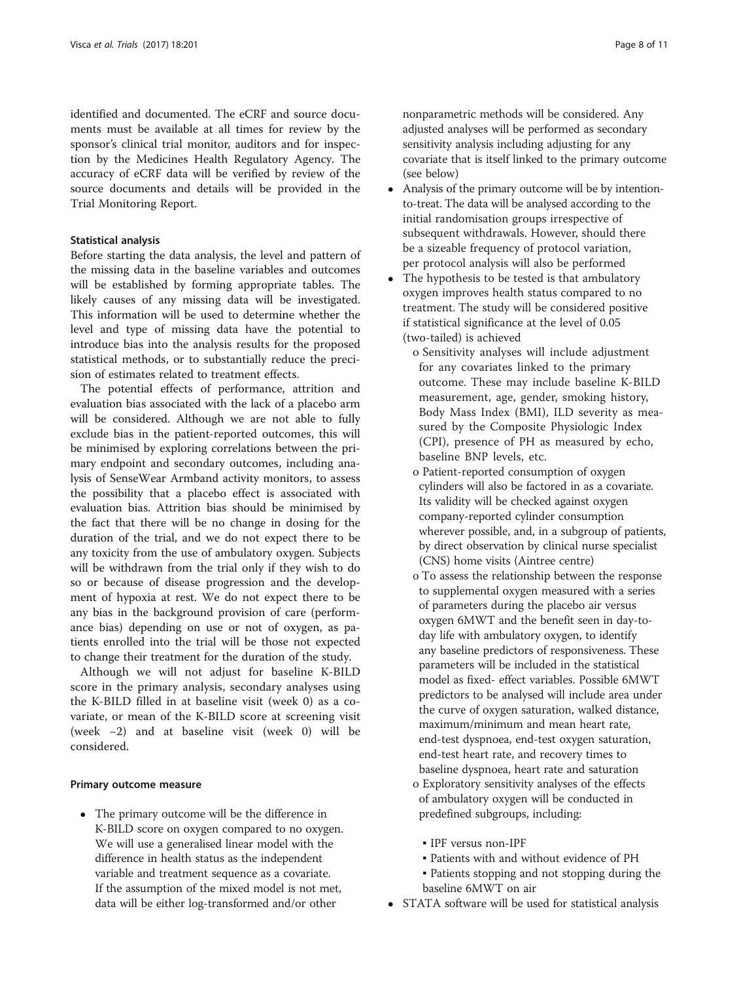identified and documented. The eCRF and source documents must be available at all times for review by the sponsor's clinical trial monitor, auditors and for inspection by the Medicines Health Regulatory Agency. The accuracy of eCRF data will be verified by review of the source documents and details will be provided in the Trial Monitoring Report.

# Statistical analysis

Before starting the data analysis, the level and pattern of the missing data in the baseline variables and outcomes will be established by forming appropriate tables. The likely causes of any missing data will be investigated. This information will be used to determine whether the level and type of missing data have the potential to introduce bias into the analysis results for the proposed statistical methods, or to substantially reduce the precision of estimates related to treatment effects.

The potential effects of performance, attrition and evaluation bias associated with the lack of a placebo arm will be considered. Although we are not able to fully exclude bias in the patient-reported outcomes, this will be minimised by exploring correlations between the primary endpoint and secondary outcomes, including analysis of SenseWear Armband activity monitors, to assess the possibility that a placebo effect is associated with evaluation bias. Attrition bias should be minimised by the fact that there will be no change in dosing for the duration of the trial, and we do not expect there to be any toxicity from the use of ambulatory oxygen. Subjects will be withdrawn from the trial only if they wish to do so or because of disease progression and the development of hypoxia at rest. We do not expect there to be any bias in the background provision of care (performance bias) depending on use or not of oxygen, as patients enrolled into the trial will be those not expected to change their treatment for the duration of the study.

Although we will not adjust for baseline K-BILD score in the primary analysis, secondary analyses using the K-BILD filled in at baseline visit (week 0) as a covariate, or mean of the K-BILD score at screening visit (week −2) and at baseline visit (week 0) will be considered.

# Primary outcome measure

 The primary outcome will be the difference in K-BILD score on oxygen compared to no oxygen. We will use a generalised linear model with the difference in health status as the independent variable and treatment sequence as a covariate. If the assumption of the mixed model is not met, data will be either log-transformed and/or other

nonparametric methods will be considered. Any adjusted analyses will be performed as secondary sensitivity analysis including adjusting for any covariate that is itself linked to the primary outcome (see below)

- Analysis of the primary outcome will be by intentionto-treat. The data will be analysed according to the initial randomisation groups irrespective of subsequent withdrawals. However, should there be a sizeable frequency of protocol variation, per protocol analysis will also be performed
- The hypothesis to be tested is that ambulatory oxygen improves health status compared to no treatment. The study will be considered positive if statistical significance at the level of 0.05 (two-tailed) is achieved
	- o Sensitivity analyses will include adjustment for any covariates linked to the primary outcome. These may include baseline K-BILD measurement, age, gender, smoking history, Body Mass Index (BMI), ILD severity as measured by the Composite Physiologic Index (CPI), presence of PH as measured by echo, baseline BNP levels, etc.
	- o Patient-reported consumption of oxygen cylinders will also be factored in as a covariate. Its validity will be checked against oxygen company-reported cylinder consumption wherever possible, and, in a subgroup of patients, by direct observation by clinical nurse specialist (CNS) home visits (Aintree centre)
	- o To assess the relationship between the response to supplemental oxygen measured with a series of parameters during the placebo air versus oxygen 6MWT and the benefit seen in day-today life with ambulatory oxygen, to identify any baseline predictors of responsiveness. These parameters will be included in the statistical model as fixed- effect variables. Possible 6MWT predictors to be analysed will include area under the curve of oxygen saturation, walked distance, maximum/minimum and mean heart rate, end-test dyspnoea, end-test oxygen saturation, end-test heart rate, and recovery times to baseline dyspnoea, heart rate and saturation
	- o Exploratory sensitivity analyses of the effects of ambulatory oxygen will be conducted in predefined subgroups, including:
		- IPF versus non-IPF
		- Patients with and without evidence of PH
	- Patients stopping and not stopping during the baseline 6MWT on air
- STATA software will be used for statistical analysis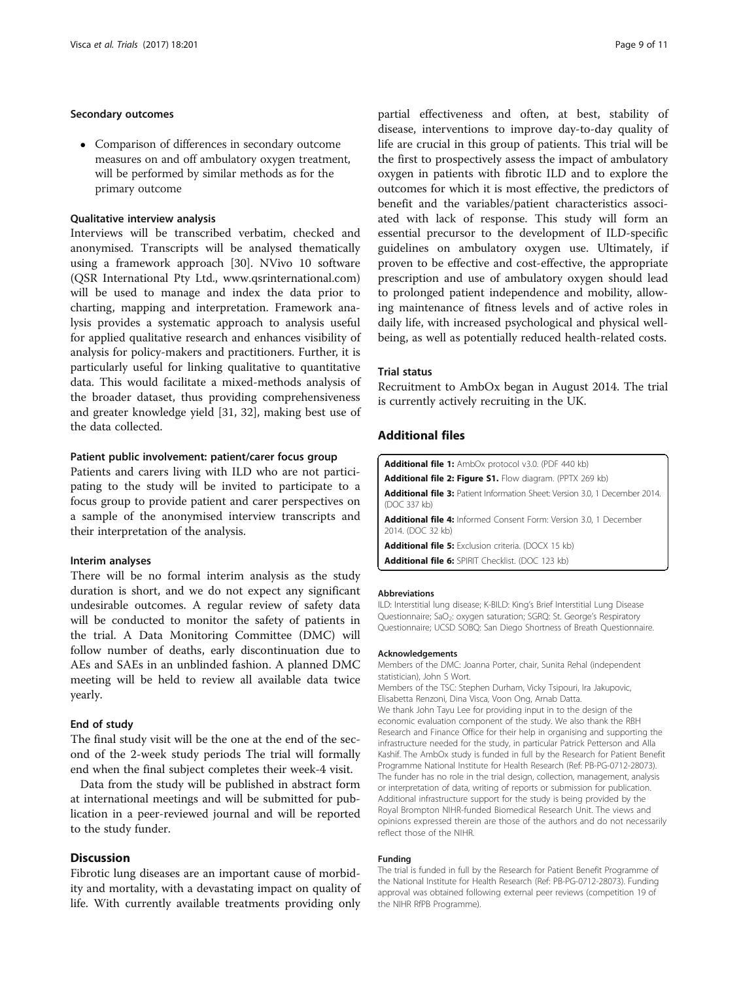# <span id="page-8-0"></span>Secondary outcomes

 Comparison of differences in secondary outcome measures on and off ambulatory oxygen treatment, will be performed by similar methods as for the primary outcome

# Qualitative interview analysis

Interviews will be transcribed verbatim, checked and anonymised. Transcripts will be analysed thematically using a framework approach [[30\]](#page-10-0). NVivo 10 software (QSR International Pty Ltd., [www.qsrinternational.com](http://www.qsrinternational.com)) will be used to manage and index the data prior to charting, mapping and interpretation. Framework analysis provides a systematic approach to analysis useful for applied qualitative research and enhances visibility of analysis for policy-makers and practitioners. Further, it is particularly useful for linking qualitative to quantitative data. This would facilitate a mixed-methods analysis of the broader dataset, thus providing comprehensiveness and greater knowledge yield [\[31, 32](#page-10-0)], making best use of the data collected.

# Patient public involvement: patient/carer focus group

Patients and carers living with ILD who are not participating to the study will be invited to participate to a focus group to provide patient and carer perspectives on a sample of the anonymised interview transcripts and their interpretation of the analysis.

# Interim analyses

There will be no formal interim analysis as the study duration is short, and we do not expect any significant undesirable outcomes. A regular review of safety data will be conducted to monitor the safety of patients in the trial. A Data Monitoring Committee (DMC) will follow number of deaths, early discontinuation due to AEs and SAEs in an unblinded fashion. A planned DMC meeting will be held to review all available data twice yearly.

# End of study

The final study visit will be the one at the end of the second of the 2-week study periods The trial will formally end when the final subject completes their week-4 visit.

Data from the study will be published in abstract form at international meetings and will be submitted for publication in a peer-reviewed journal and will be reported to the study funder.

# **Discussion**

Fibrotic lung diseases are an important cause of morbidity and mortality, with a devastating impact on quality of life. With currently available treatments providing only

partial effectiveness and often, at best, stability of disease, interventions to improve day-to-day quality of life are crucial in this group of patients. This trial will be the first to prospectively assess the impact of ambulatory oxygen in patients with fibrotic ILD and to explore the outcomes for which it is most effective, the predictors of benefit and the variables/patient characteristics associated with lack of response. This study will form an essential precursor to the development of ILD-specific guidelines on ambulatory oxygen use. Ultimately, if proven to be effective and cost-effective, the appropriate prescription and use of ambulatory oxygen should lead to prolonged patient independence and mobility, allowing maintenance of fitness levels and of active roles in daily life, with increased psychological and physical wellbeing, as well as potentially reduced health-related costs.

## Trial status

Recruitment to AmbOx began in August 2014. The trial is currently actively recruiting in the UK.

# Additional files

| <b>Additional file 1:</b> AmbOx protocol v3.0. (PDF 440 kb)                                        |
|----------------------------------------------------------------------------------------------------|
| <b>Additional file 2: Figure S1.</b> Flow diagram. (PPTX 269 kb)                                   |
| <b>Additional file 3:</b> Patient Information Sheet: Version 3.0, 1 December 2014.<br>(DOC 337 kb) |
| <b>Additional file 4:</b> Informed Consent Form: Version 3.0, 1 December<br>2014. (DOC 32 kb)      |
| <b>Additional file 5:</b> Exclusion criteria. (DOCX 15 kb)                                         |
| <b>Additional file 6:</b> SPIRIT Checklist. (DOC 123 kb)                                           |

#### Abbreviations

ILD: Interstitial lung disease; K-BILD: King's Brief Interstitial Lung Disease Questionnaire; SaO<sub>2</sub>: oxygen saturation; SGRQ: St. George's Respiratory Questionnaire; UCSD SOBQ: San Diego Shortness of Breath Questionnaire.

#### Acknowledgements

Members of the DMC: Joanna Porter, chair, Sunita Rehal (independent statistician), John S Wort.

Members of the TSC: Stephen Durham, Vicky Tsipouri, Ira Jakupovic, Elisabetta Renzoni, Dina Visca, Voon Ong, Arnab Datta.

We thank John Tayu Lee for providing input in to the design of the economic evaluation component of the study. We also thank the RBH Research and Finance Office for their help in organising and supporting the infrastructure needed for the study, in particular Patrick Petterson and Alla Kashif. The AmbOx study is funded in full by the Research for Patient Benefit Programme National Institute for Health Research (Ref: PB-PG-0712-28073). The funder has no role in the trial design, collection, management, analysis or interpretation of data, writing of reports or submission for publication. Additional infrastructure support for the study is being provided by the Royal Brompton NIHR-funded Biomedical Research Unit. The views and opinions expressed therein are those of the authors and do not necessarily reflect those of the NIHR.

# Funding

The trial is funded in full by the Research for Patient Benefit Programme of the National Institute for Health Research (Ref: PB-PG-0712-28073). Funding approval was obtained following external peer reviews (competition 19 of the NIHR RfPB Programme).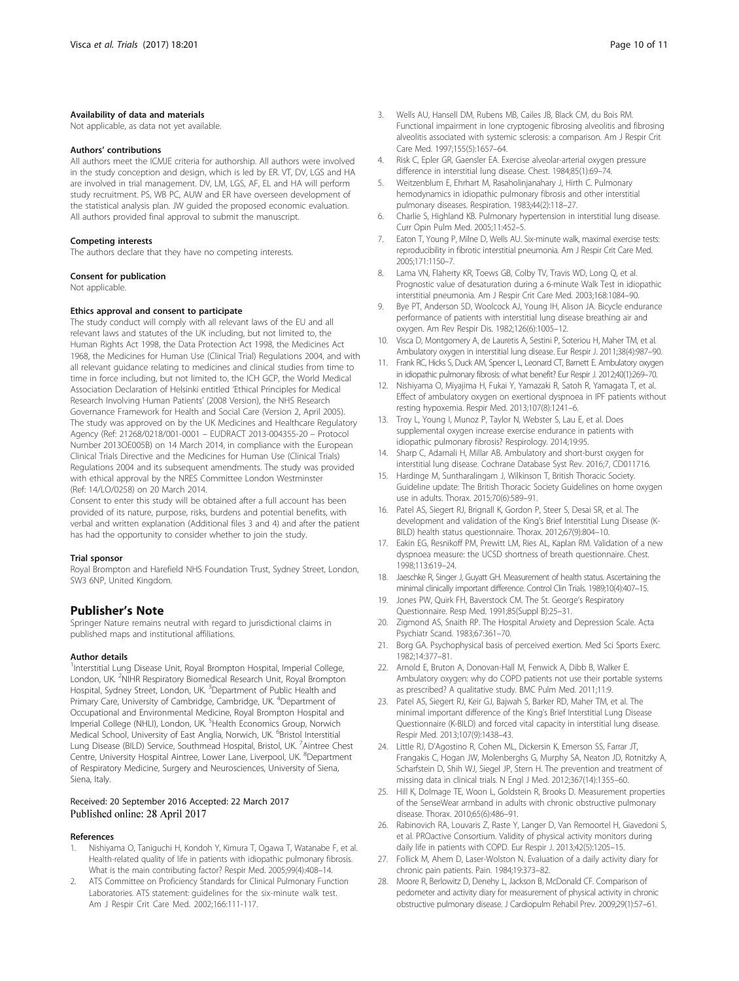# <span id="page-9-0"></span>Availability of data and materials

Not applicable, as data not yet available.

#### Authors' contributions

All authors meet the ICMJE criteria for authorship. All authors were involved in the study conception and design, which is led by ER. VT, DV, LGS and HA are involved in trial management. DV, LM, LGS, AF, EL and HA will perform study recruitment. PS, WB PC, AUW and ER have overseen development of the statistical analysis plan. JW guided the proposed economic evaluation. All authors provided final approval to submit the manuscript.

#### Competing interests

The authors declare that they have no competing interests.

#### Consent for publication

Not applicable.

# Ethics approval and consent to participate

The study conduct will comply with all relevant laws of the EU and all relevant laws and statutes of the UK including, but not limited to, the Human Rights Act 1998, the Data Protection Act 1998, the Medicines Act 1968, the Medicines for Human Use (Clinical Trial) Regulations 2004, and with all relevant guidance relating to medicines and clinical studies from time to time in force including, but not limited to, the ICH GCP, the World Medical Association Declaration of Helsinki entitled 'Ethical Principles for Medical Research Involving Human Patients' (2008 Version), the NHS Research Governance Framework for Health and Social Care (Version 2, April 2005). The study was approved on by the UK Medicines and Healthcare Regulatory Agency (Ref: 21268/0218/001-0001 – EUDRACT 2013-004355-20 – Protocol Number 2013OE005B) on 14 March 2014, in compliance with the European Clinical Trials Directive and the Medicines for Human Use (Clinical Trials) Regulations 2004 and its subsequent amendments. The study was provided with ethical approval by the NRES Committee London Westminster (Ref: 14/LO/0258) on 20 March 2014.

Consent to enter this study will be obtained after a full account has been provided of its nature, purpose, risks, burdens and potential benefits, with verbal and written explanation (Additional files [3](#page-8-0) and [4](#page-8-0)) and after the patient has had the opportunity to consider whether to join the study.

#### Trial sponsor

Royal Brompton and Harefield NHS Foundation Trust, Sydney Street, London, SW3 6NP, United Kingdom.

# Publisher's Note

Springer Nature remains neutral with regard to jurisdictional claims in published maps and institutional affiliations.

#### Author details

<sup>1</sup>Interstitial Lung Disease Unit, Royal Brompton Hospital, Imperial College, London, UK. <sup>2</sup>NIHR Respiratory Biomedical Research Unit, Royal Brompton Hospital, Sydney Street, London, UK. <sup>3</sup>Department of Public Health and Primary Care, University of Cambridge, Cambridge, UK. <sup>4</sup>Department of Occupational and Environmental Medicine, Royal Brompton Hospital and Imperial College (NHLI), London, UK. <sup>5</sup>Health Economics Group, Norwich Medical School, University of East Anglia, Norwich, UK. <sup>6</sup>Bristol Interstitial Lung Disease (BILD) Service, Southmead Hospital, Bristol, UK. <sup>7</sup>Aintree Chest Centre, University Hospital Aintree, Lower Lane, Liverpool, UK. <sup>8</sup>Department of Respiratory Medicine, Surgery and Neurosciences, University of Siena, Siena, Italy.

# Received: 20 September 2016 Accepted: 22 March 2017 Published online: 28 April 2017

# References

- 1. Nishiyama O, Taniguchi H, Kondoh Y, Kimura T, Ogawa T, Watanabe F, et al. Health-related quality of life in patients with idiopathic pulmonary fibrosis. What is the main contributing factor? Respir Med. 2005;99(4):408–14.
- ATS Committee on Proficiency Standards for Clinical Pulmonary Function Laboratories. ATS statement: guidelines for the six-minute walk test. Am J Respir Crit Care Med. 2002;166:111-117.
- 3. Wells AU, Hansell DM, Rubens MB, Cailes JB, Black CM, du Bois RM. Functional impairment in lone cryptogenic fibrosing alveolitis and fibrosing alveolitis associated with systemic sclerosis: a comparison. Am J Respir Crit Care Med. 1997;155(5):1657–64.
- 4. Risk C, Epler GR, Gaensler EA. Exercise alveolar-arterial oxygen pressure difference in interstitial lung disease. Chest. 1984;85(1):69–74.
- 5. Weitzenblum E, Ehrhart M, Rasaholinjanahary J, Hirth C. Pulmonary hemodynamics in idiopathic pulmonary fibrosis and other interstitial pulmonary diseases. Respiration. 1983;44(2):118–27.
- 6. Charlie S, Highland KB. Pulmonary hypertension in interstitial lung disease. Curr Opin Pulm Med. 2005;11:452–5.
- 7. Eaton T, Young P, Milne D, Wells AU. Six-minute walk, maximal exercise tests: reproducibility in fibrotic interstitial pneumonia. Am J Respir Crit Care Med. 2005;171:1150–7.
- 8. Lama VN, Flaherty KR, Toews GB, Colby TV, Travis WD, Long Q, et al. Prognostic value of desaturation during a 6-minute Walk Test in idiopathic interstitial pneumonia. Am J Respir Crit Care Med. 2003;168:1084–90.
- 9. Bye PT, Anderson SD, Woolcock AJ, Young IH, Alison JA. Bicycle endurance performance of patients with interstitial lung disease breathing air and oxygen. Am Rev Respir Dis. 1982;126(6):1005–12.
- 10. Visca D, Montgomery A, de Lauretis A, Sestini P, Soteriou H, Maher TM, et al. Ambulatory oxygen in interstitial lung disease. Eur Respir J. 2011;38(4):987–90.
- 11. Frank RC, Hicks S, Duck AM, Spencer L, Leonard CT, Barnett E. Ambulatory oxygen in idiopathic pulmonary fibrosis: of what benefit? Eur Respir J. 2012;40(1):269–70.
- 12. Nishiyama O, Miyajima H, Fukai Y, Yamazaki R, Satoh R, Yamagata T, et al. Effect of ambulatory oxygen on exertional dyspnoea in IPF patients without resting hypoxemia. Respir Med. 2013;107(8):1241–6.
- 13. Troy L, Young I, Munoz P, Taylor N, Webster S, Lau E, et al. Does supplemental oxygen increase exercise endurance in patients with idiopathic pulmonary fibrosis? Respirology. 2014;19:95.
- 14. Sharp C, Adamali H, Millar AB. Ambulatory and short-burst oxygen for interstitial lung disease. Cochrane Database Syst Rev. 2016;7, CD011716.
- 15. Hardinge M, Suntharalingam J, Wilkinson T, British Thoracic Society. Guideline update: The British Thoracic Society Guidelines on home oxygen use in adults. Thorax. 2015;70(6):589–91.
- 16. Patel AS, Siegert RJ, Brignall K, Gordon P, Steer S, Desai SR, et al. The development and validation of the King's Brief Interstitial Lung Disease (K-BILD) health status questionnaire. Thorax. 2012;67(9):804–10.
- 17. Eakin EG, Resnikoff PM, Prewitt LM, Ries AL, Kaplan RM. Validation of a new dyspnoea measure: the UCSD shortness of breath questionnaire. Chest. 1998;113:619–24.
- 18. Jaeschke R, Singer J, Guyatt GH. Measurement of health status. Ascertaining the minimal clinically important difference. Control Clin Trials. 1989;10(4):407–15.
- 19. Jones PW, Quirk FH, Baverstock CM. The St. George's Respiratory Questionnaire. Resp Med. 1991;85(Suppl B):25–31.
- 20. Zigmond AS, Snaith RP. The Hospital Anxiety and Depression Scale. Acta Psychiatr Scand. 1983;67:361–70.
- 21. Borg GA. Psychophysical basis of perceived exertion. Med Sci Sports Exerc. 1982;14:377–81.
- 22. Arnold E, Bruton A, Donovan-Hall M, Fenwick A, Dibb B, Walker E. Ambulatory oxygen: why do COPD patients not use their portable systems as prescribed? A qualitative study. BMC Pulm Med. 2011;11:9.
- 23. Patel AS, Siegert RJ, Keir GJ, Bajwah S, Barker RD, Maher TM, et al. The minimal important difference of the King's Brief Interstitial Lung Disease Questionnaire (K-BILD) and forced vital capacity in interstitial lung disease. Respir Med. 2013;107(9):1438–43.
- 24. Little RJ, D'Agostino R, Cohen ML, Dickersin K, Emerson SS, Farrar JT, Frangakis C, Hogan JW, Molenberghs G, Murphy SA, Neaton JD, Rotnitzky A, Scharfstein D, Shih WJ, Siegel JP, Stern H. The prevention and treatment of missing data in clinical trials. N Engl J Med. 2012;367(14):1355–60.
- 25. Hill K, Dolmage TE, Woon L, Goldstein R, Brooks D. Measurement properties of the SenseWear armband in adults with chronic obstructive pulmonary disease. Thorax. 2010;65(6):486–91.
- 26. Rabinovich RA, Louvaris Z, Raste Y, Langer D, Van Remoortel H, Giavedoni S, et al. PROactive Consortium. Validity of physical activity monitors during daily life in patients with COPD. Eur Respir J. 2013;42(5):1205–15.
- 27. Follick M, Ahem D, Laser-Wolston N. Evaluation of a daily activity diary for chronic pain patients. Pain. 1984;19:373–82.
- 28. Moore R, Berlowitz D, Denehy L, Jackson B, McDonald CF. Comparison of pedometer and activity diary for measurement of physical activity in chronic obstructive pulmonary disease. J Cardiopulm Rehabil Prev. 2009;29(1):57–61.